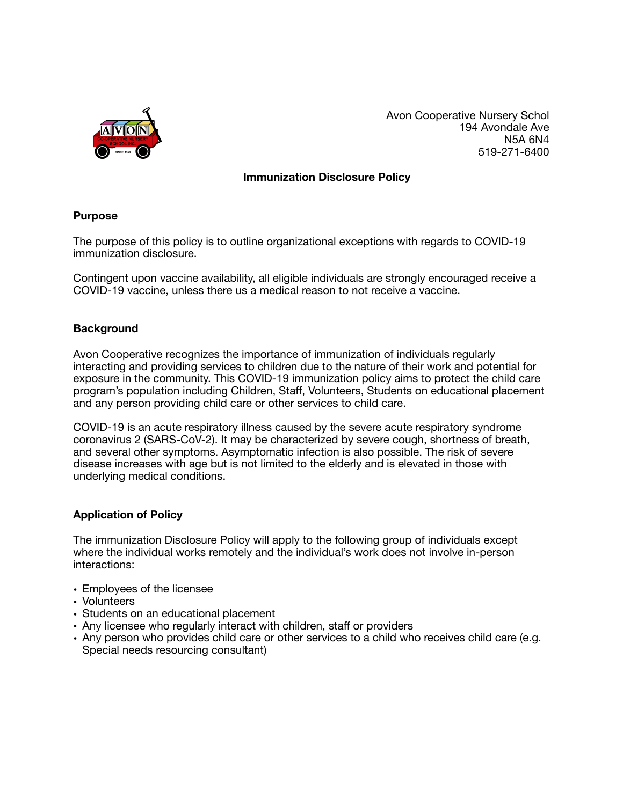

Avon Cooperative Nursery Schol 194 Avondale Ave N5A 6N4 519-271-6400

## **Immunization Disclosure Policy**

#### **Purpose**

The purpose of this policy is to outline organizational exceptions with regards to COVID-19 immunization disclosure.

Contingent upon vaccine availability, all eligible individuals are strongly encouraged receive a COVID-19 vaccine, unless there us a medical reason to not receive a vaccine.

# **Background**

Avon Cooperative recognizes the importance of immunization of individuals regularly interacting and providing services to children due to the nature of their work and potential for exposure in the community. This COVID-19 immunization policy aims to protect the child care program's population including Children, Staff, Volunteers, Students on educational placement and any person providing child care or other services to child care.

COVID-19 is an acute respiratory illness caused by the severe acute respiratory syndrome coronavirus 2 (SARS-CoV-2). It may be characterized by severe cough, shortness of breath, and several other symptoms. Asymptomatic infection is also possible. The risk of severe disease increases with age but is not limited to the elderly and is elevated in those with underlying medical conditions.

#### **Application of Policy**

The immunization Disclosure Policy will apply to the following group of individuals except where the individual works remotely and the individual's work does not involve in-person interactions:

- Employees of the licensee
- Volunteers
- Students on an educational placement
- Any licensee who regularly interact with children, staff or providers
- Any person who provides child care or other services to a child who receives child care (e.g. Special needs resourcing consultant)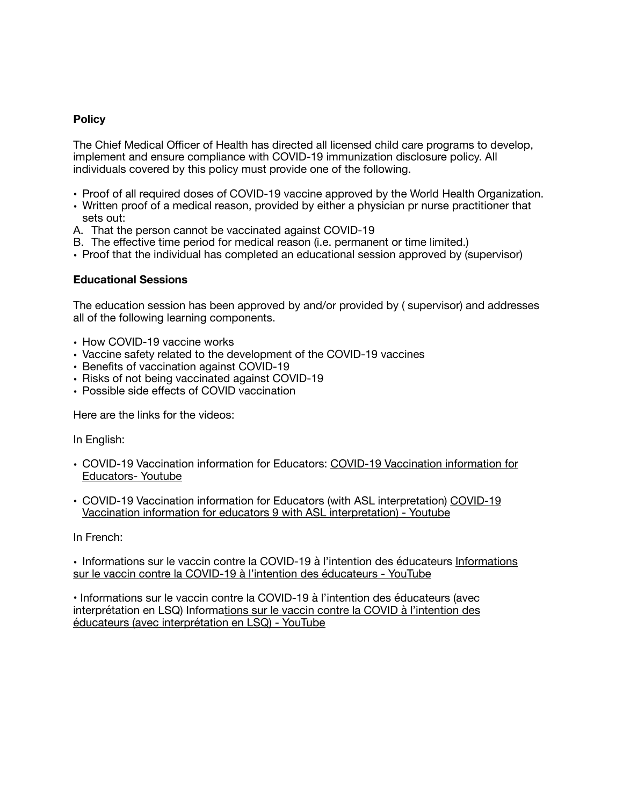# **Policy**

The Chief Medical Officer of Health has directed all licensed child care programs to develop, implement and ensure compliance with COVID-19 immunization disclosure policy. All individuals covered by this policy must provide one of the following.

- Proof of all required doses of COVID-19 vaccine approved by the World Health Organization.
- Written proof of a medical reason, provided by either a physician pr nurse practitioner that sets out:
- A. That the person cannot be vaccinated against COVID-19
- B. The effective time period for medical reason (i.e. permanent or time limited.)
- Proof that the individual has completed an educational session approved by (supervisor)

# **Educational Sessions**

The education session has been approved by and/or provided by ( supervisor) and addresses all of the following learning components.

- How COVID-19 vaccine works
- Vaccine safety related to the development of the COVID-19 vaccines
- Benefits of vaccination against COVID-19
- Risks of not being vaccinated against COVID-19
- Possible side effects of COVID vaccination

Here are the links for the videos:

In English:

- COVID-19 Vaccination information for Educators: COVID-19 Vaccination information for Educators- Youtube
- COVID-19 Vaccination information for Educators (with ASL interpretation) COVID-19 Vaccination information for educators 9 with ASL interpretation) - Youtube

In French:

• Informations sur le vaccin contre la COVID-19 à l'intention des éducateurs Informations sur le vaccin contre la COVID-19 à l'intention des éducateurs - YouTube

• Informations sur le vaccin contre la COVID-19 à l'intention des éducateurs (avec interprétation en LSQ) Informations sur le vaccin contre la COVID à l'intention des éducateurs (avec interprétation en LSQ) - YouTube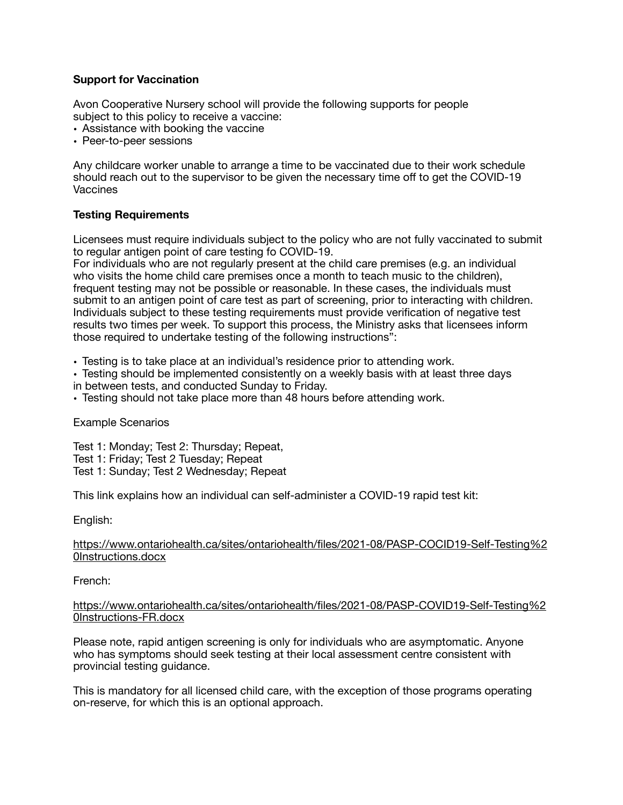# **Support for Vaccination**

Avon Cooperative Nursery school will provide the following supports for people subject to this policy to receive a vaccine:

- Assistance with booking the vaccine
- Peer-to-peer sessions

Any childcare worker unable to arrange a time to be vaccinated due to their work schedule should reach out to the supervisor to be given the necessary time off to get the COVID-19 Vaccines

#### **Testing Requirements**

Licensees must require individuals subject to the policy who are not fully vaccinated to submit to regular antigen point of care testing fo COVID-19.

For individuals who are not regularly present at the child care premises (e.g. an individual who visits the home child care premises once a month to teach music to the children), frequent testing may not be possible or reasonable. In these cases, the individuals must submit to an antigen point of care test as part of screening, prior to interacting with children. Individuals subject to these testing requirements must provide verification of negative test results two times per week. To support this process, the Ministry asks that licensees inform those required to undertake testing of the following instructions":

• Testing is to take place at an individual's residence prior to attending work.

- Testing should be implemented consistently on a weekly basis with at least three days
- in between tests, and conducted Sunday to Friday.
- Testing should not take place more than 48 hours before attending work.

Example Scenarios

Test 1: Monday; Test 2: Thursday; Repeat, Test 1: Friday; Test 2 Tuesday; Repeat Test 1: Sunday; Test 2 Wednesday; Repeat

This link explains how an individual can self-administer a COVID-19 rapid test kit:

English:

#### https://www.ontariohealth.ca/sites/ontariohealth/files/2021-08/PASP-COCID19-Self-Testing%2 0Instructions.docx

French:

#### https://www.ontariohealth.ca/sites/ontariohealth/files/2021-08/PASP-COVID19-Self-Testing%2 0Instructions-FR.docx

Please note, rapid antigen screening is only for individuals who are asymptomatic. Anyone who has symptoms should seek testing at their local assessment centre consistent with provincial testing guidance.

This is mandatory for all licensed child care, with the exception of those programs operating on-reserve, for which this is an optional approach.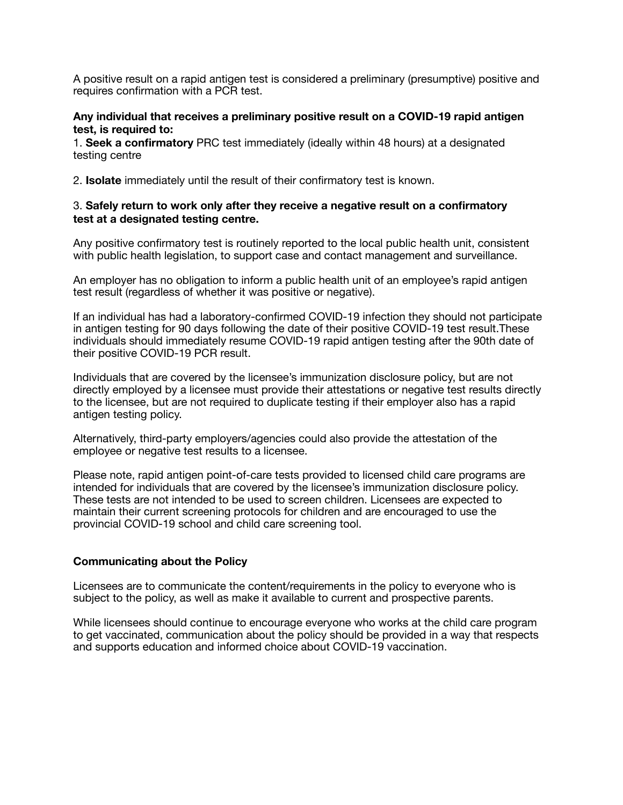A positive result on a rapid antigen test is considered a preliminary (presumptive) positive and requires confirmation with a PCR test.

#### **Any individual that receives a preliminary positive result on a COVID-19 rapid antigen test, is required to:**

1. **Seek a confirmatory** PRC test immediately (ideally within 48 hours) at a designated testing centre

2. **Isolate** immediately until the result of their confirmatory test is known.

#### 3. **Safely return to work only after they receive a negative result on a confirmatory test at a designated testing centre.**

Any positive confirmatory test is routinely reported to the local public health unit, consistent with public health legislation, to support case and contact management and surveillance.

An employer has no obligation to inform a public health unit of an employee's rapid antigen test result (regardless of whether it was positive or negative).

If an individual has had a laboratory-confirmed COVID-19 infection they should not participate in antigen testing for 90 days following the date of their positive COVID-19 test result. These individuals should immediately resume COVID-19 rapid antigen testing after the 90th date of their positive COVID-19 PCR result.

Individuals that are covered by the licensee's immunization disclosure policy, but are not directly employed by a licensee must provide their attestations or negative test results directly to the licensee, but are not required to duplicate testing if their employer also has a rapid antigen testing policy.

Alternatively, third-party employers/agencies could also provide the attestation of the employee or negative test results to a licensee.

Please note, rapid antigen point-of-care tests provided to licensed child care programs are intended for individuals that are covered by the licensee's immunization disclosure policy. These tests are not intended to be used to screen children. Licensees are expected to maintain their current screening protocols for children and are encouraged to use the provincial COVID-19 school and child care screening tool.

#### **Communicating about the Policy**

Licensees are to communicate the content/requirements in the policy to everyone who is subject to the policy, as well as make it available to current and prospective parents.

While licensees should continue to encourage everyone who works at the child care program to get vaccinated, communication about the policy should be provided in a way that respects and supports education and informed choice about COVID-19 vaccination.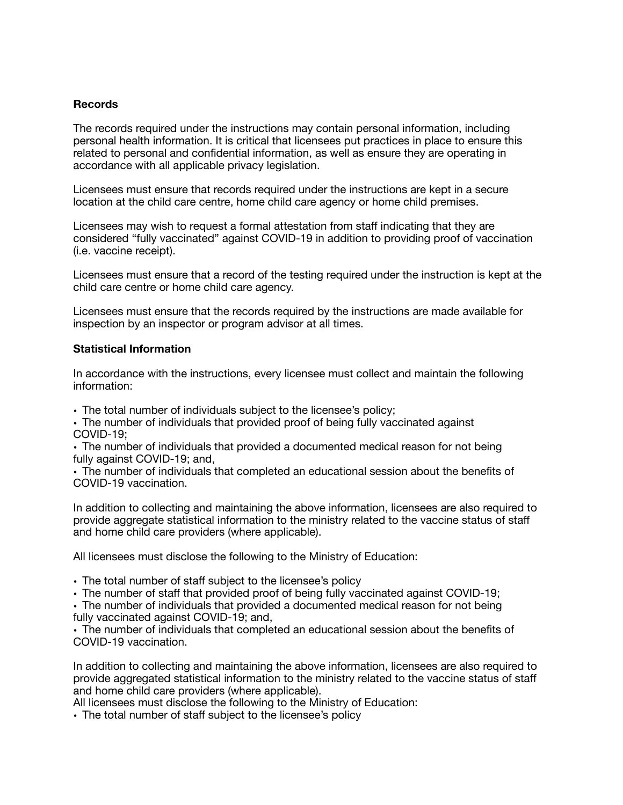# **Records**

The records required under the instructions may contain personal information, including personal health information. It is critical that licensees put practices in place to ensure this related to personal and confidential information, as well as ensure they are operating in accordance with all applicable privacy legislation.

Licensees must ensure that records required under the instructions are kept in a secure location at the child care centre, home child care agency or home child premises.

Licensees may wish to request a formal attestation from staff indicating that they are considered "fully vaccinated" against COVID-19 in addition to providing proof of vaccination (i.e. vaccine receipt).

Licensees must ensure that a record of the testing required under the instruction is kept at the child care centre or home child care agency.

Licensees must ensure that the records required by the instructions are made available for inspection by an inspector or program advisor at all times.

#### **Statistical Information**

In accordance with the instructions, every licensee must collect and maintain the following information:

• The total number of individuals subject to the licensee's policy;

• The number of individuals that provided proof of being fully vaccinated against COVID-19;

• The number of individuals that provided a documented medical reason for not being fully against COVID-19; and,

• The number of individuals that completed an educational session about the benefits of COVID-19 vaccination.

In addition to collecting and maintaining the above information, licensees are also required to provide aggregate statistical information to the ministry related to the vaccine status of staff and home child care providers (where applicable).

All licensees must disclose the following to the Ministry of Education:

• The total number of staff subject to the licensee's policy

• The number of staff that provided proof of being fully vaccinated against COVID-19;

• The number of individuals that provided a documented medical reason for not being fully vaccinated against COVID-19; and,

• The number of individuals that completed an educational session about the benefits of COVID-19 vaccination.

In addition to collecting and maintaining the above information, licensees are also required to provide aggregated statistical information to the ministry related to the vaccine status of staff and home child care providers (where applicable).

All licensees must disclose the following to the Ministry of Education:

• The total number of staff subject to the licensee's policy